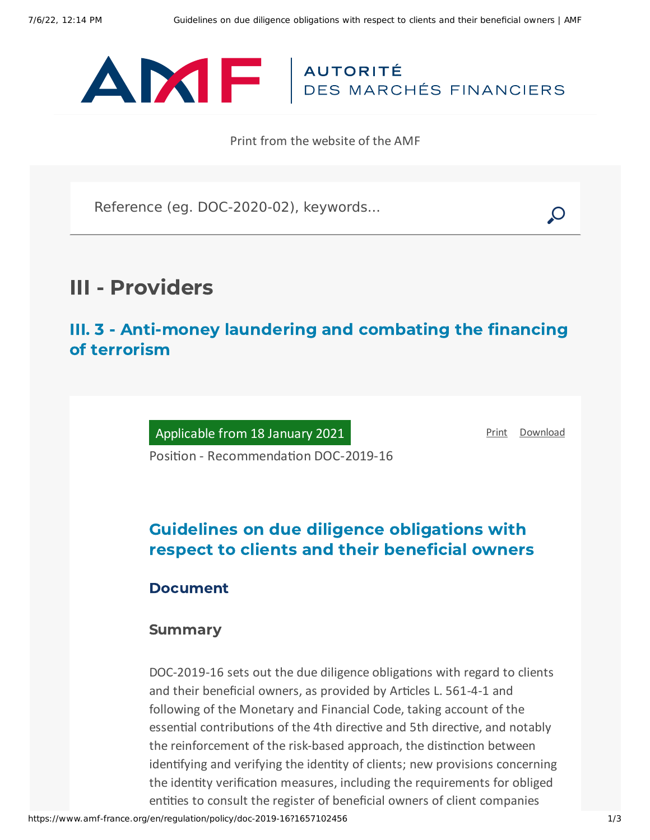

Print from the website of the AMF

Reference (eg. DOC-2020-02), keywords...

# III - Providers

III. 3 - Anti-money laundering and combating the financing of terrorism

Applicable from 18 January 2021

[Print](javascript:window.print()) [Download](https://www.amf-france.org/sites/default/files/pdf/62772/en/Guidelines_on_due_diligence_obligations_with_respect_to_clients_and_their_beneficial_owners.pdf?1657102457)

Position - Recommendation DOC-2019-16

## Guidelines on due diligence obligations with respect to clients and their beneficial owners

### Document

#### Summary

DOC-2019-16 sets out the due diligence obligations with regard to clients and their beneficial owners, as provided by Articles L. 561-4-1 and following of the Monetary and Financial Code, taking account of the essential contributions of the 4th directive and 5th directive, and notably the reinforcement of the risk-based approach, the distinction between identifying and verifying the identity of clients; new provisions concerning the identity verification measures, including the requirements for obliged entities to consult the register of beneficial owners of client companies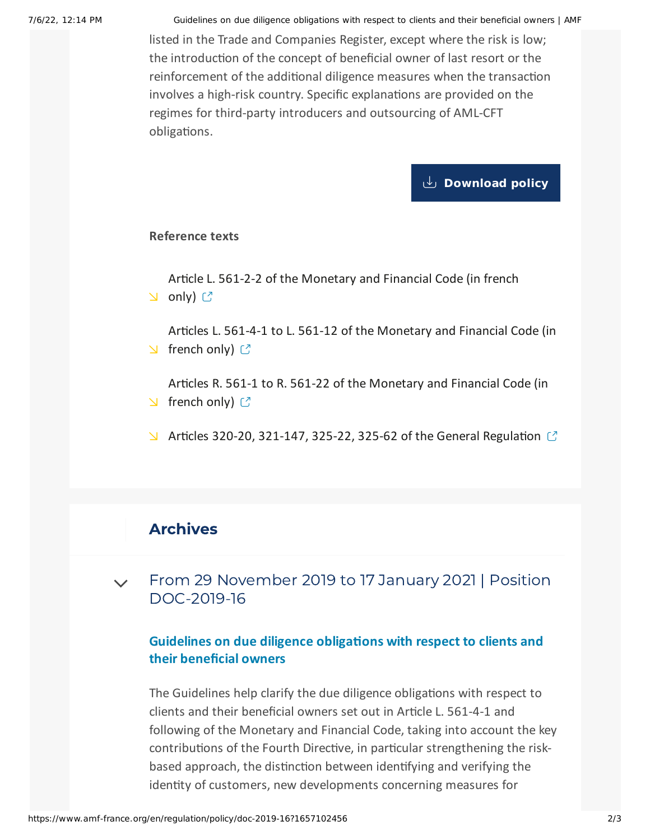7/6/22, 12:14 PM Guidelines on due diligence obligations with respect to clients and their beneficial owners | AMF

listed in the Trade and Companies Register, except where the risk is low; the introduction of the concept of beneficial owner of last resort or the reinforcement of the additional diligence measures when the transaction involves a high-risk country. Specific explanations are provided on the regimes for third-party introducers and outsourcing of AML-CFT obligations.

#### **[Download](https://www.amf-france.org/sites/default/files/private/2021-03/doc-2019-16_va2_ld-clients-et-beneficiaires-effectifs_relu_sm.pdf) policy**

#### **Reference texts**

Article L. 561-2-2 of the [Monetary](https://www.legifrance.gouv.fr/codes/id/LEGIARTI000033517537/2019-11-29/) and Financial Code (in french  $\cup$  only)  $\mathbb{C}$ 

Articles L. 561-4-1 to L. 561-12 of the [Monetary](https://www.legifrance.gouv.fr/codes/section_lc/LEGITEXT000006072026/LEGISCTA000020179278?etatTexte=VIGUEUR&etatTexte=VIGUEUR_DIFF#LEGISCTA000020196669) and Financial Code (in  $\vee$  french only)  $\circlearrowright$ 

Articles R. 561-1 to R. 561-22 of the [Monetary](https://www.legifrance.gouv.fr/codes/section_lc/LEGITEXT000006072026/LEGISCTA000019266650/2019-11-29/#LEGISCTA000021020431) and Financial Code (in  $\vee$  french only)  $\circlearrowright$ 

 $\blacktriangleright$  Articles 320-20, 321-147, 325-22, 325-62 of the General [Regulation](https://reglement-general.amf-france.org/eli/fr/aai/amf/rg/en.html)  $\mathbb{C}$ 

## Archives

From 29 November 2019 to 17 January 2021 | Position [DOC-2019-16](#page-1-0)  $\vee$ 

#### **Guidelines on due diligence obligations with respect to clients and their beneficial owners**

<span id="page-1-0"></span>The Guidelines help clarify the due diligence obligations with respect to clients and their beneficial owners set out in Article L. 561-4-1 and following of the Monetary and Financial Code, taking into account the key contributions of the Fourth Directive, in particular strengthening the riskbased approach, the distinction between identifying and verifying the identity of customers, new developments concerning measures for